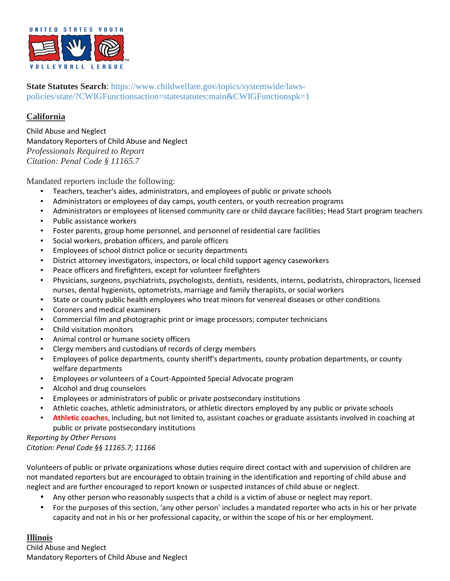

**State Statutes Search**: https://www.childwelfare.gov/topics/systemwide/lawspolicies/state/?CWIGFunctionsaction=statestatutes:main&CWIGFunctionspk=1

#### **California**

Child Abuse and Neglect Mandatory Reporters of Child Abuse and Neglect *Professionals Required to Report Citation: Penal Code § 11165.7* 

Mandated reporters include the following:

- Teachers, teacher's aides, administrators, and employees of public or private schools
- Administrators or employees of day camps, youth centers, or youth recreation programs
- Administrators or employees of licensed community care or child daycare facilities; Head Start program teachers
- Public assistance workers
- Foster parents, group home personnel, and personnel of residential care facilities
- Social workers, probation officers, and parole officers
- Employees of school district police or security departments
- District attorney investigators, inspectors, or local child support agency caseworkers
- Peace officers and firefighters, except for volunteer firefighters
- Physicians, surgeons, psychiatrists, psychologists, dentists, residents, interns, podiatrists, chiropractors, licensed nurses, dental hygienists, optometrists, marriage and family therapists, or social workers
- State or county public health employees who treat minors for venereal diseases or other conditions
- Coroners and medical examiners
- Commercial film and photographic print or image processors; computer technicians
- Child visitation monitors
- Animal control or humane society officers
- Clergy members and custodians of records of clergy members
- Employees of police departments, county sheriff's departments, county probation departments, or county welfare departments
- Employees or volunteers of a Court-Appointed Special Advocate program
- Alcohol and drug counselors
- Employees or administrators of public or private postsecondary institutions
- Athletic coaches, athletic administrators, or athletic directors employed by any public or private schools
- **Athletic coaches**, including, but not limited to, assistant coaches or graduate assistants involved in coaching at public or private postsecondary institutions

*Reporting by Other Persons Citation: Penal Code §§ 11165.7; 11166* 

Volunteers of public or private organizations whose duties require direct contact with and supervision of children are not mandated reporters but are encouraged to obtain training in the identification and reporting of child abuse and neglect and are further encouraged to report known or suspected instances of child abuse or neglect.

- Any other person who reasonably suspects that a child is a victim of abuse or neglect may report.
- For the purposes of this section, 'any other person' includes a mandated reporter who acts in his or her private capacity and not in his or her professional capacity, or within the scope of his or her employment.

## **Illinois**

Child Abuse and Neglect Mandatory Reporters of Child Abuse and Neglect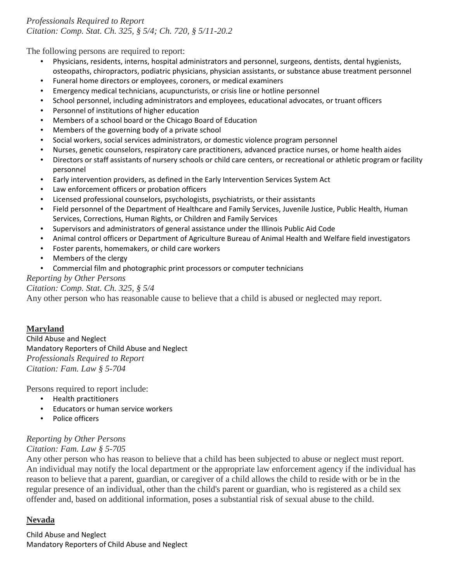# *Professionals Required to Report Citation: Comp. Stat. Ch. 325, § 5/4; Ch. 720, § 5/11-20.2*

The following persons are required to report:

- Physicians, residents, interns, hospital administrators and personnel, surgeons, dentists, dental hygienists, osteopaths, chiropractors, podiatric physicians, physician assistants, or substance abuse treatment personnel
- Funeral home directors or employees, coroners, or medical examiners
- Emergency medical technicians, acupuncturists, or crisis line or hotline personnel
- School personnel, including administrators and employees, educational advocates, or truant officers
- Personnel of institutions of higher education
- Members of a school board or the Chicago Board of Education
- Members of the governing body of a private school
- Social workers, social services administrators, or domestic violence program personnel
- Nurses, genetic counselors, respiratory care practitioners, advanced practice nurses, or home health aides
- Directors or staff assistants of nursery schools or child care centers, or recreational or athletic program or facility personnel
- Early intervention providers, as defined in the Early Intervention Services System Act
- Law enforcement officers or probation officers
- Licensed professional counselors, psychologists, psychiatrists, or their assistants
- Field personnel of the Department of Healthcare and Family Services, Juvenile Justice, Public Health, Human Services, Corrections, Human Rights, or Children and Family Services
- Supervisors and administrators of general assistance under the Illinois Public Aid Code
- Animal control officers or Department of Agriculture Bureau of Animal Health and Welfare field investigators
- Foster parents, homemakers, or child care workers
- Members of the clergy
- Commercial film and photographic print processors or computer technicians

## *Reporting by Other Persons*

#### *Citation: Comp. Stat. Ch. 325, § 5/4*

Any other person who has reasonable cause to believe that a child is abused or neglected may report.

# **Maryland**

Child Abuse and Neglect Mandatory Reporters of Child Abuse and Neglect *Professionals Required to Report Citation: Fam. Law § 5-704* 

Persons required to report include:

- Health practitioners
- Educators or human service workers
- Police officers

# *Reporting by Other Persons*

## *Citation: Fam. Law § 5-705*

Any other person who has reason to believe that a child has been subjected to abuse or neglect must report. An individual may notify the local department or the appropriate law enforcement agency if the individual has reason to believe that a parent, guardian, or caregiver of a child allows the child to reside with or be in the regular presence of an individual, other than the child's parent or guardian, who is registered as a child sex offender and, based on additional information, poses a substantial risk of sexual abuse to the child.

## **Nevada**

Child Abuse and Neglect Mandatory Reporters of Child Abuse and Neglect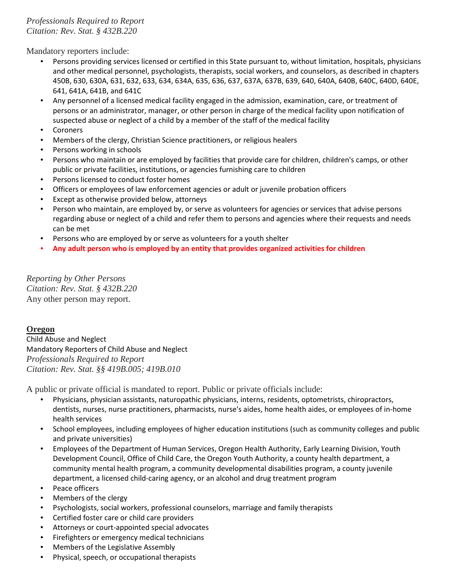# *Professionals Required to Report Citation: Rev. Stat. § 432B.220*

Mandatory reporters include:

- Persons providing services licensed or certified in this State pursuant to, without limitation, hospitals, physicians and other medical personnel, psychologists, therapists, social workers, and counselors, as described in chapters 450B, 630, 630A, 631, 632, 633, 634, 634A, 635, 636, 637, 637A, 637B, 639, 640, 640A, 640B, 640C, 640D, 640E, 641, 641A, 641B, and 641C
- Any personnel of a licensed medical facility engaged in the admission, examination, care, or treatment of persons or an administrator, manager, or other person in charge of the medical facility upon notification of suspected abuse or neglect of a child by a member of the staff of the medical facility
- **Coroners**
- Members of the clergy, Christian Science practitioners, or religious healers
- Persons working in schools
- Persons who maintain or are employed by facilities that provide care for children, children's camps, or other public or private facilities, institutions, or agencies furnishing care to children
- Persons licensed to conduct foster homes
- Officers or employees of law enforcement agencies or adult or juvenile probation officers
- Except as otherwise provided below, attorneys
- Person who maintain, are employed by, or serve as volunteers for agencies or services that advise persons regarding abuse or neglect of a child and refer them to persons and agencies where their requests and needs can be met
- Persons who are employed by or serve as volunteers for a youth shelter
- **Any adult person who is employed by an entity that provides organized activities for children**

*Reporting by Other Persons Citation: Rev. Stat. § 432B.220* Any other person may report.

#### **Oregon**

Child Abuse and Neglect Mandatory Reporters of Child Abuse and Neglect *Professionals Required to Report Citation: Rev. Stat. §§ 419B.005; 419B.010*

A public or private official is mandated to report. Public or private officials include:

- Physicians, physician assistants, naturopathic physicians, interns, residents, optometrists, chiropractors, dentists, nurses, nurse practitioners, pharmacists, nurse's aides, home health aides, or employees of in-home health services
- School employees, including employees of higher education institutions (such as community colleges and public and private universities)
- Employees of the Department of Human Services, Oregon Health Authority, Early Learning Division, Youth Development Council, Office of Child Care, the Oregon Youth Authority, a county health department, a community mental health program, a community developmental disabilities program, a county juvenile department, a licensed child-caring agency, or an alcohol and drug treatment program
- Peace officers
- Members of the clergy
- Psychologists, social workers, professional counselors, marriage and family therapists
- Certified foster care or child care providers
- Attorneys or court-appointed special advocates
- Firefighters or emergency medical technicians
- Members of the Legislative Assembly
- Physical, speech, or occupational therapists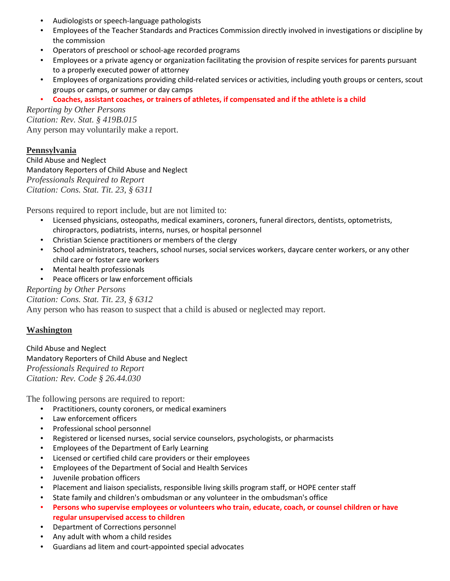- Audiologists or speech-language pathologists
- Employees of the Teacher Standards and Practices Commission directly involved in investigations or discipline by the commission
- Operators of preschool or school-age recorded programs
- Employees or a private agency or organization facilitating the provision of respite services for parents pursuant to a properly executed power of attorney
- Employees of organizations providing child-related services or activities, including youth groups or centers, scout groups or camps, or summer or day camps
- **Coaches, assistant coaches, or trainers of athletes, if compensated and if the athlete is a child**

*Reporting by Other Persons Citation: Rev. Stat. § 419B.015*  Any person may voluntarily make a report.

#### **Pennsylvania**

Child Abuse and Neglect Mandatory Reporters of Child Abuse and Neglect *Professionals Required to Report Citation: Cons. Stat. Tit. 23, § 6311*

Persons required to report include, but are not limited to:

- Licensed physicians, osteopaths, medical examiners, coroners, funeral directors, dentists, optometrists, chiropractors, podiatrists, interns, nurses, or hospital personnel
- Christian Science practitioners or members of the clergy
- School administrators, teachers, school nurses, social services workers, daycare center workers, or any other child care or foster care workers
- Mental health professionals
- Peace officers or law enforcement officials

*Reporting by Other Persons Citation: Cons. Stat. Tit. 23, § 6312* Any person who has reason to suspect that a child is abused or neglected may report.

## **Washington**

Child Abuse and Neglect Mandatory Reporters of Child Abuse and Neglect *Professionals Required to Report Citation: Rev. Code § 26.44.030* 

The following persons are required to report:

- Practitioners, county coroners, or medical examiners
- Law enforcement officers
- Professional school personnel
- Registered or licensed nurses, social service counselors, psychologists, or pharmacists
- Employees of the Department of Early Learning
- Licensed or certified child care providers or their employees
- Employees of the Department of Social and Health Services
- Juvenile probation officers
- Placement and liaison specialists, responsible living skills program staff, or HOPE center staff
- State family and children's ombudsman or any volunteer in the ombudsman's office
- **Persons who supervise employees or volunteers who train, educate, coach, or counsel children or have regular unsupervised access to children**
- Department of Corrections personnel
- Any adult with whom a child resides
- Guardians ad litem and court-appointed special advocates